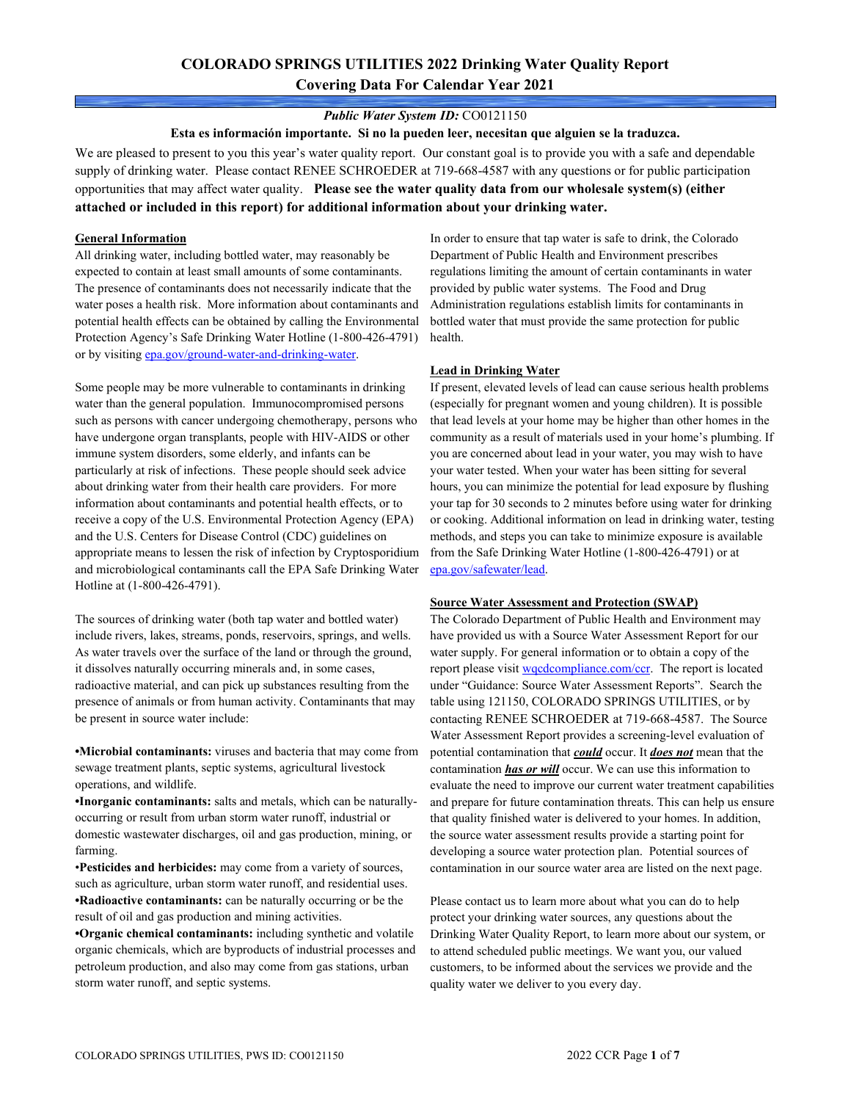# **COLORADO SPRINGS UTILITIES 2022 Drinking Water Quality Report Covering Data For Calendar Year 2021**

### *Public Water System ID:* CO0121150

**Esta es información importante. Si no la pueden leer, necesitan que alguien se la traduzca.**

We are pleased to present to you this year's water quality report. Our constant goal is to provide you with a safe and dependable supply of drinking water. Please contact RENEE SCHROEDER at 719-668-4587 with any questions or for public participation opportunities that may affect water quality. **Please see the water quality data from our wholesale system(s) (either attached or included in this report) for additional information about your drinking water.**

### **General Information**

All drinking water, including bottled water, may reasonably be expected to contain at least small amounts of some contaminants. The presence of contaminants does not necessarily indicate that the water poses a health risk. More information about contaminants and potential health effects can be obtained by calling the Environmental Protection Agency's Safe Drinking Water Hotline (1-800-426-4791) or by visiting [epa.gov/ground-water-and-drinking-water.](https://www.epa.gov/ground-water-and-drinking-water)

Some people may be more vulnerable to contaminants in drinking water than the general population. Immunocompromised persons such as persons with cancer undergoing chemotherapy, persons who have undergone organ transplants, people with HIV-AIDS or other immune system disorders, some elderly, and infants can be particularly at risk of infections. These people should seek advice about drinking water from their health care providers. For more information about contaminants and potential health effects, or to receive a copy of the U.S. Environmental Protection Agency (EPA) and the U.S. Centers for Disease Control (CDC) guidelines on appropriate means to lessen the risk of infection by Cryptosporidium and microbiological contaminants call the EPA Safe Drinking Water Hotline at (1-800-426-4791).

The sources of drinking water (both tap water and bottled water) include rivers, lakes, streams, ponds, reservoirs, springs, and wells. As water travels over the surface of the land or through the ground, it dissolves naturally occurring minerals and, in some cases, radioactive material, and can pick up substances resulting from the presence of animals or from human activity. Contaminants that may be present in source water include:

**•Microbial contaminants:** viruses and bacteria that may come from sewage treatment plants, septic systems, agricultural livestock operations, and wildlife.

**•Inorganic contaminants:** salts and metals, which can be naturallyoccurring or result from urban storm water runoff, industrial or domestic wastewater discharges, oil and gas production, mining, or farming.

•**Pesticides and herbicides:** may come from a variety of sources, such as agriculture, urban storm water runoff, and residential uses. **•Radioactive contaminants:** can be naturally occurring or be the result of oil and gas production and mining activities.

**•Organic chemical contaminants:** including synthetic and volatile organic chemicals, which are byproducts of industrial processes and petroleum production, and also may come from gas stations, urban storm water runoff, and septic systems.

In order to ensure that tap water is safe to drink, the Colorado Department of Public Health and Environment prescribes regulations limiting the amount of certain contaminants in water provided by public water systems. The Food and Drug Administration regulations establish limits for contaminants in bottled water that must provide the same protection for public health.

### **Lead in Drinking Water**

If present, elevated levels of lead can cause serious health problems (especially for pregnant women and young children). It is possible that lead levels at your home may be higher than other homes in the community as a result of materials used in your home's plumbing. If you are concerned about lead in your water, you may wish to have your water tested. When your water has been sitting for several hours, you can minimize the potential for lead exposure by flushing your tap for 30 seconds to 2 minutes before using water for drinking or cooking. Additional information on lead in drinking water, testing methods, and steps you can take to minimize exposure is available from the Safe Drinking Water Hotline (1-800-426-4791) or at [epa.gov/safewater/lead.](http://www.epa.gov/safewater/lead) 

### **Source Water Assessment and Protection (SWAP)**

The Colorado Department of Public Health and Environment may have provided us with a Source Water Assessment Report for our water supply. For general information or to obtain a copy of the report please visit [wqcdcompliance.com/ccr.](https://wqcdcompliance.com/ccr) The report is located under "Guidance: Source Water Assessment Reports". Search the table using 121150, COLORADO SPRINGS UTILITIES, or by contacting RENEE SCHROEDER at 719-668-4587. The Source Water Assessment Report provides a screening-level evaluation of potential contamination that *could* occur. It *does not* mean that the contamination *has or will* occur. We can use this information to evaluate the need to improve our current water treatment capabilities and prepare for future contamination threats. This can help us ensure that quality finished water is delivered to your homes. In addition, the source water assessment results provide a starting point for developing a source water protection plan. Potential sources of contamination in our source water area are listed on the next page.

Please contact us to learn more about what you can do to help protect your drinking water sources, any questions about the Drinking Water Quality Report, to learn more about our system, or to attend scheduled public meetings. We want you, our valued customers, to be informed about the services we provide and the quality water we deliver to you every day.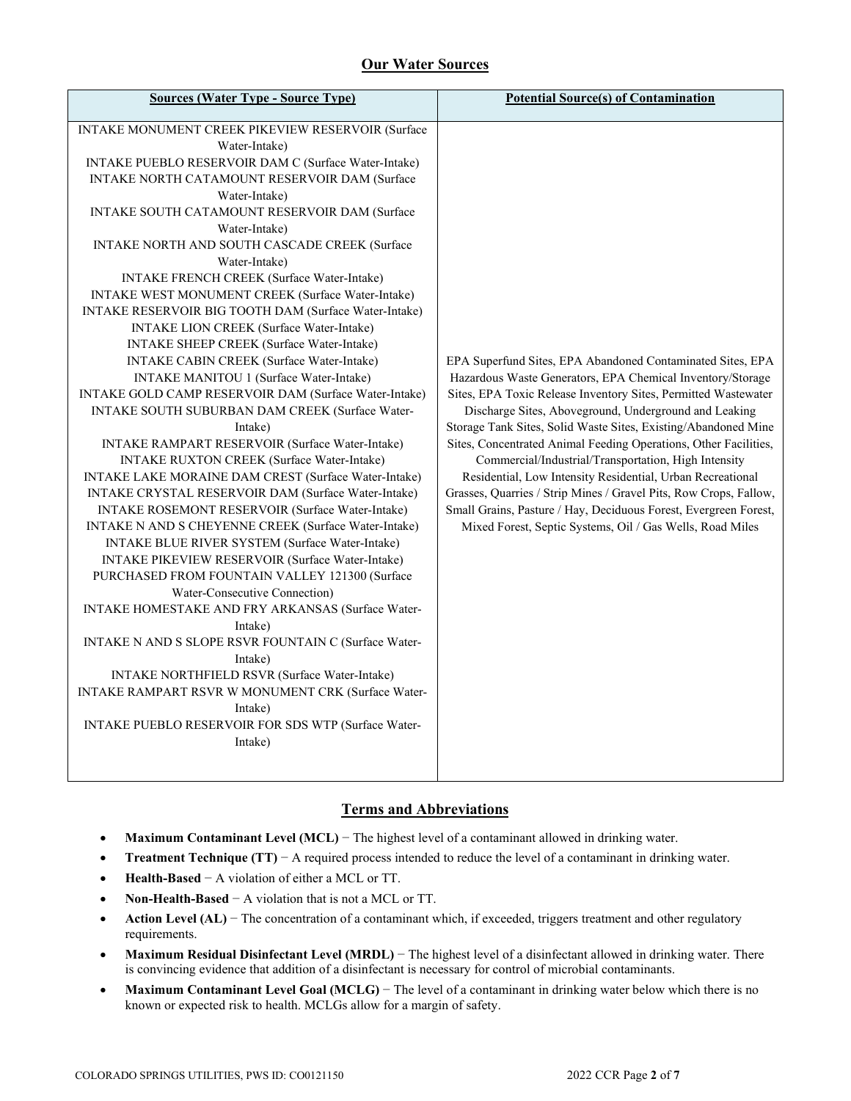# **Our Water Sources**

## **Terms and Abbreviations**

- **Maximum Contaminant Level (MCL)** − The highest level of a contaminant allowed in drinking water.
- **Treatment Technique (TT)** − A required process intended to reduce the level of a contaminant in drinking water.
- **Health-Based** − A violation of either a MCL or TT.
- **Non-Health-Based** − A violation that is not a MCL or TT.
- **Action Level (AL)** − The concentration of a contaminant which, if exceeded, triggers treatment and other regulatory requirements.
- **Maximum Residual Disinfectant Level (MRDL)** − The highest level of a disinfectant allowed in drinking water. There is convincing evidence that addition of a disinfectant is necessary for control of microbial contaminants.
- **Maximum Contaminant Level Goal (MCLG)** − The level of a contaminant in drinking water below which there is no known or expected risk to health. MCLGs allow for a margin of safety.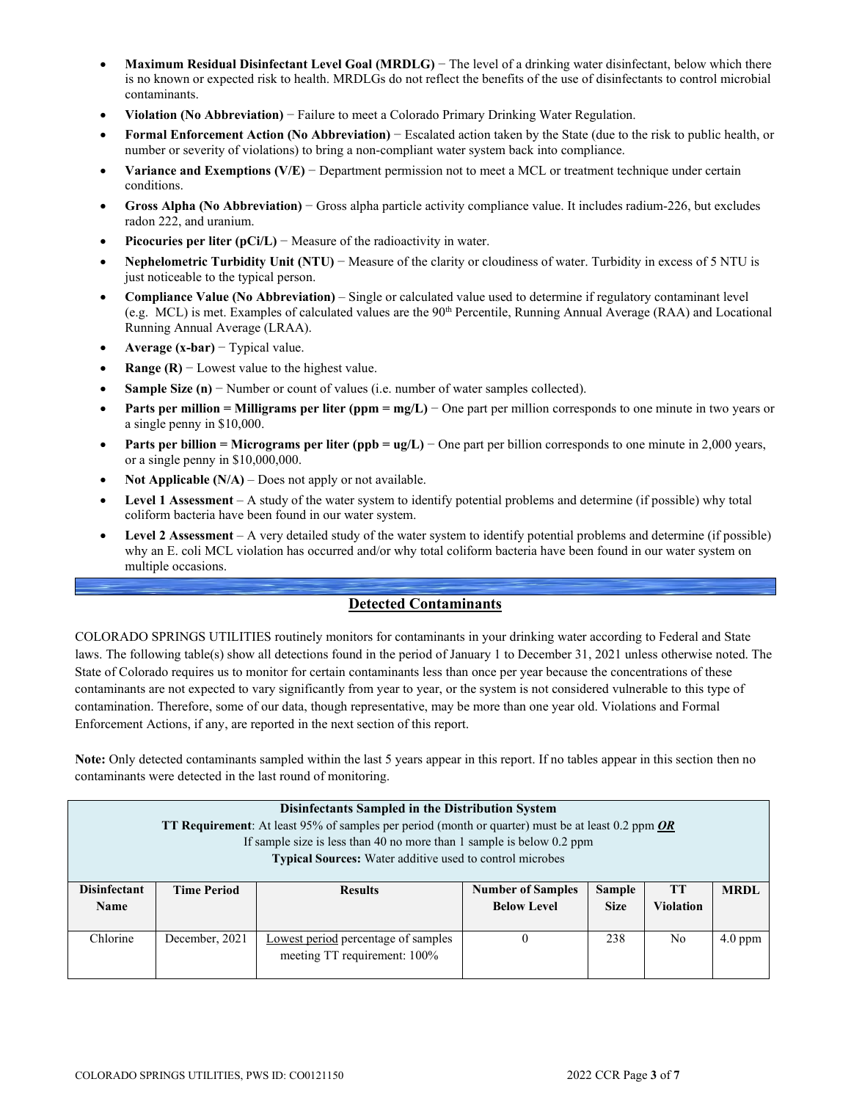- **Maximum Residual Disinfectant Level Goal (MRDLG)** − The level of a drinking water disinfectant, below which there is no known or expected risk to health. MRDLGs do not reflect the benefits of the use of disinfectants to control microbial contaminants.
- **Violation (No Abbreviation)** − Failure to meet a Colorado Primary Drinking Water Regulation.
- **Formal Enforcement Action (No Abbreviation)** − Escalated action taken by the State (due to the risk to public health, or number or severity of violations) to bring a non-compliant water system back into compliance.
- **Variance and Exemptions (V/E)** − Department permission not to meet a MCL or treatment technique under certain conditions.
- **Gross Alpha (No Abbreviation)** − Gross alpha particle activity compliance value. It includes radium-226, but excludes radon 222, and uranium.
- **Picocuries per liter (pCi/L)** − Measure of the radioactivity in water.
- **Nephelometric Turbidity Unit (NTU)** − Measure of the clarity or cloudiness of water. Turbidity in excess of 5 NTU is just noticeable to the typical person.
- **Compliance Value (No Abbreviation)** Single or calculated value used to determine if regulatory contaminant level (e.g. MCL) is met. Examples of calculated values are the 90<sup>th</sup> Percentile, Running Annual Average (RAA) and Locational Running Annual Average (LRAA).
- **Average (x-bar)** − Typical value.
- **Range (R)**  $-$  Lowest value to the highest value.
- **Sample Size (n)** − Number or count of values (i.e. number of water samples collected).
- **Parts per million = Milligrams per liter (ppm = mg/L)** − One part per million corresponds to one minute in two years or a single penny in \$10,000.
- **Parts per billion = Micrograms per liter (ppb = ug/L)** − One part per billion corresponds to one minute in 2,000 years, or a single penny in \$10,000,000.
- **Not Applicable (N/A)** Does not apply or not available.
- **Level 1 Assessment** A study of the water system to identify potential problems and determine (if possible) why total coliform bacteria have been found in our water system.
- **Level 2 Assessment** A very detailed study of the water system to identify potential problems and determine (if possible) why an E. coli MCL violation has occurred and/or why total coliform bacteria have been found in our water system on multiple occasions.

## **Detected Contaminants**

COLORADO SPRINGS UTILITIES routinely monitors for contaminants in your drinking water according to Federal and State laws. The following table(s) show all detections found in the period of January 1 to December 31, 2021 unless otherwise noted. The State of Colorado requires us to monitor for certain contaminants less than once per year because the concentrations of these contaminants are not expected to vary significantly from year to year, or the system is not considered vulnerable to this type of contamination. Therefore, some of our data, though representative, may be more than one year old. Violations and Formal Enforcement Actions, if any, are reported in the next section of this report.

**Note:** Only detected contaminants sampled within the last 5 years appear in this report. If no tables appear in this section then no contaminants were detected in the last round of monitoring.

|                                    | Disinfectants Sampled in the Distribution System<br><b>TT Requirement:</b> At least 95% of samples per period (month or quarter) must be at least 0.2 ppm <b>OR</b><br>If sample size is less than 40 no more than 1 sample is below 0.2 ppm<br>Typical Sources: Water additive used to control microbes |                                                                     |                                                |                              |                               |             |  |  |  |  |  |
|------------------------------------|----------------------------------------------------------------------------------------------------------------------------------------------------------------------------------------------------------------------------------------------------------------------------------------------------------|---------------------------------------------------------------------|------------------------------------------------|------------------------------|-------------------------------|-------------|--|--|--|--|--|
| <b>Disinfectant</b><br><b>Name</b> | <b>Time Period</b>                                                                                                                                                                                                                                                                                       | <b>Results</b>                                                      | <b>Number of Samples</b><br><b>Below Level</b> | <b>Sample</b><br><b>Size</b> | <b>TT</b><br><b>Violation</b> | <b>MRDL</b> |  |  |  |  |  |
| Chlorine                           | December, 2021                                                                                                                                                                                                                                                                                           | Lowest period percentage of samples<br>meeting TT requirement: 100% | $\Omega$                                       | 238                          | N <sub>0</sub>                | $4.0$ ppm   |  |  |  |  |  |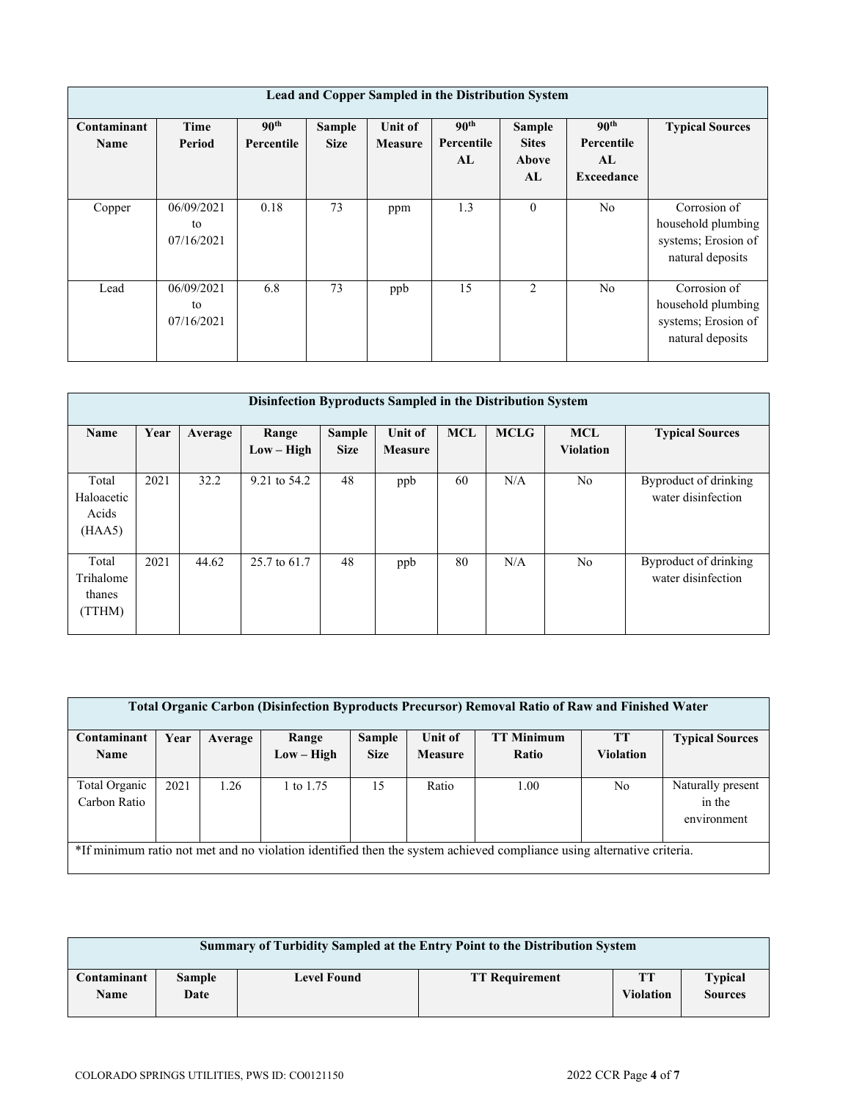|                            | Lead and Copper Sampled in the Distribution System |                                |                       |                           |                                      |                                       |                                                    |                                                                               |  |  |  |  |  |
|----------------------------|----------------------------------------------------|--------------------------------|-----------------------|---------------------------|--------------------------------------|---------------------------------------|----------------------------------------------------|-------------------------------------------------------------------------------|--|--|--|--|--|
| Contaminant<br><b>Name</b> | Time<br>Period                                     | 90 <sup>th</sup><br>Percentile | Sample<br><b>Size</b> | Unit of<br><b>Measure</b> | 90 <sup>th</sup><br>Percentile<br>AL | Sample<br><b>Sites</b><br>Above<br>AL | 90 <sup>th</sup><br>Percentile<br>AL<br>Exceedance | <b>Typical Sources</b>                                                        |  |  |  |  |  |
| Copper                     | 06/09/2021<br>to<br>07/16/2021                     | 0.18                           | 73                    | ppm                       | 1.3                                  | $\theta$                              | N <sub>o</sub>                                     | Corrosion of<br>household plumbing<br>systems; Erosion of<br>natural deposits |  |  |  |  |  |
| Lead                       | 06/09/2021<br>to<br>07/16/2021                     | 6.8                            | 73                    | ppb                       | 15                                   | $\mathcal{D}_{\mathcal{L}}$           | N <sub>o</sub>                                     | Corrosion of<br>household plumbing<br>systems; Erosion of<br>natural deposits |  |  |  |  |  |

|                                        | Disinfection Byproducts Sampled in the Distribution System |         |                       |                       |                                  |            |             |                                |                                             |  |  |  |  |  |
|----------------------------------------|------------------------------------------------------------|---------|-----------------------|-----------------------|----------------------------------|------------|-------------|--------------------------------|---------------------------------------------|--|--|--|--|--|
| Name                                   | Year                                                       | Average | Range<br>$Low - High$ | Sample<br><b>Size</b> | <b>Unit of</b><br><b>Measure</b> | <b>MCL</b> | <b>MCLG</b> | <b>MCL</b><br><b>Violation</b> | <b>Typical Sources</b>                      |  |  |  |  |  |
| Total<br>Haloacetic<br>Acids<br>(HAA5) | 2021                                                       | 32.2    | 9.21 to 54.2          | 48                    | ppb                              | 60         | N/A         | N <sub>o</sub>                 | Byproduct of drinking<br>water disinfection |  |  |  |  |  |
| Total<br>Trihalome<br>thanes<br>(TTHM) | 2021                                                       | 44.62   | 25.7 to 61.7          | 48                    | ppb                              | 80         | N/A         | N <sub>o</sub>                 | Byproduct of drinking<br>water disinfection |  |  |  |  |  |

| <b>Total Organic Carbon (Disinfection Byproducts Precursor) Removal Ratio of Raw and Finished Water</b> |                                                                                                                       |         |            |               |                |                   |                  |                        |  |  |  |  |
|---------------------------------------------------------------------------------------------------------|-----------------------------------------------------------------------------------------------------------------------|---------|------------|---------------|----------------|-------------------|------------------|------------------------|--|--|--|--|
| Contaminant                                                                                             | Year                                                                                                                  | Average | Range      | <b>Sample</b> | Unit of        | <b>TT Minimum</b> | <b>TT</b>        | <b>Typical Sources</b> |  |  |  |  |
| <b>Name</b>                                                                                             |                                                                                                                       |         | Low – High | <b>Size</b>   | <b>Measure</b> | Ratio             | <b>Violation</b> |                        |  |  |  |  |
|                                                                                                         |                                                                                                                       |         |            |               |                |                   |                  |                        |  |  |  |  |
| Total Organic                                                                                           | 2021                                                                                                                  | 1.26    | to $1.75$  | 15            | Ratio          | 1.00              | No               | Naturally present      |  |  |  |  |
| Carbon Ratio                                                                                            |                                                                                                                       |         |            |               |                |                   |                  | in the                 |  |  |  |  |
|                                                                                                         |                                                                                                                       |         |            |               |                |                   |                  | environment            |  |  |  |  |
|                                                                                                         |                                                                                                                       |         |            |               |                |                   |                  |                        |  |  |  |  |
|                                                                                                         | *If minimum ratio not met and no violation identified then the system achieved compliance using alternative criteria. |         |            |               |                |                   |                  |                        |  |  |  |  |

|                     | <b>Summary of Turbidity Sampled at the Entry Point to the Distribution System</b> |             |                       |                        |                                  |  |  |  |  |  |  |
|---------------------|-----------------------------------------------------------------------------------|-------------|-----------------------|------------------------|----------------------------------|--|--|--|--|--|--|
| Contaminant<br>Name | <b>Sample</b><br>Date                                                             | Level Found | <b>TT Requirement</b> | TТ<br><b>Violation</b> | <b>Typical</b><br><b>Sources</b> |  |  |  |  |  |  |
|                     |                                                                                   |             |                       |                        |                                  |  |  |  |  |  |  |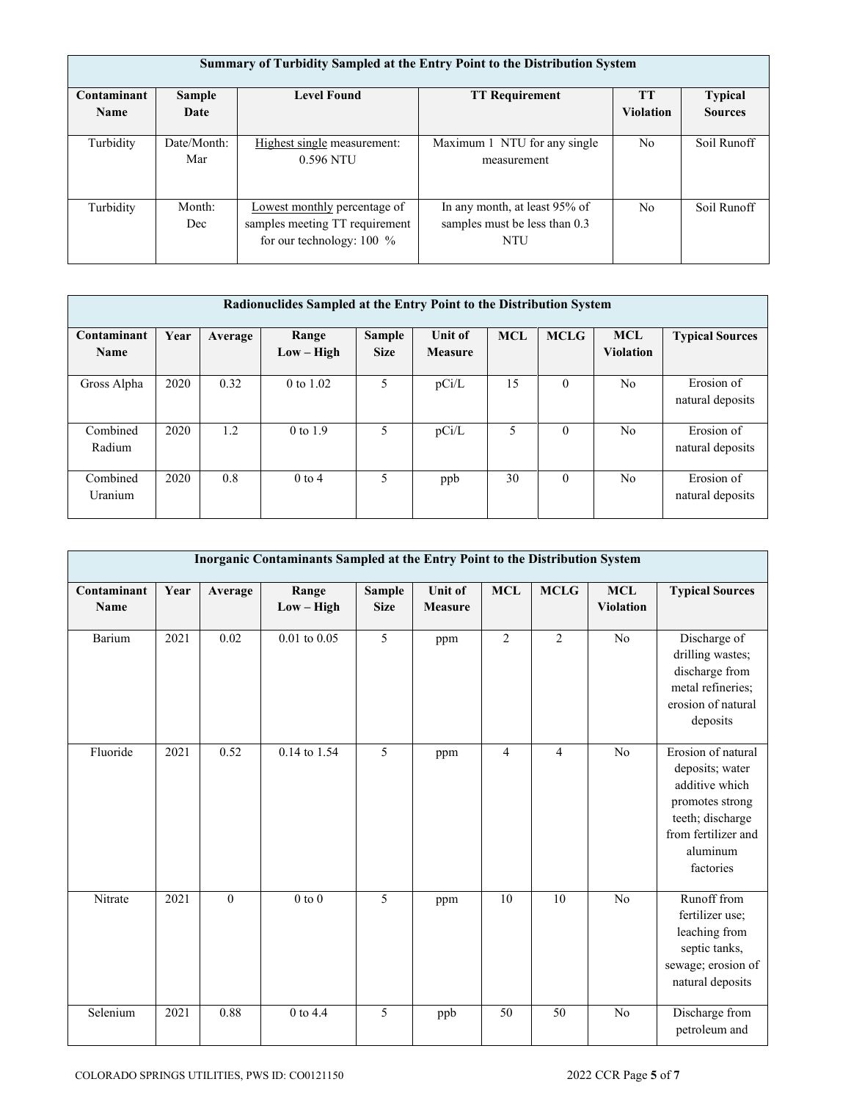|                            | Summary of Turbidity Sampled at the Entry Point to the Distribution System |                                                                                             |                                                                              |                               |                                  |  |  |  |  |  |  |  |  |
|----------------------------|----------------------------------------------------------------------------|---------------------------------------------------------------------------------------------|------------------------------------------------------------------------------|-------------------------------|----------------------------------|--|--|--|--|--|--|--|--|
| Contaminant<br><b>Name</b> | Sample<br>Date                                                             | <b>Level Found</b>                                                                          | <b>TT Requirement</b>                                                        | <b>TT</b><br><b>Violation</b> | <b>Typical</b><br><b>Sources</b> |  |  |  |  |  |  |  |  |
| Turbidity                  | Date/Month:<br>Mar                                                         | Highest single measurement:<br>0.596 NTU                                                    | Maximum 1 NTU for any single<br>measurement                                  | N <sub>o</sub>                | Soil Runoff                      |  |  |  |  |  |  |  |  |
| Turbidity                  | Month:<br>Dec                                                              | Lowest monthly percentage of<br>samples meeting TT requirement<br>for our technology: 100 % | In any month, at least 95% of<br>samples must be less than 0.3<br><b>NTU</b> | N <sub>0</sub>                | Soil Runoff                      |  |  |  |  |  |  |  |  |

| Radionuclides Sampled at the Entry Point to the Distribution System |      |         |                       |                              |                           |            |             |                                |                                |  |  |
|---------------------------------------------------------------------|------|---------|-----------------------|------------------------------|---------------------------|------------|-------------|--------------------------------|--------------------------------|--|--|
| Contaminant<br><b>Name</b>                                          | Year | Average | Range<br>$Low - High$ | <b>Sample</b><br><b>Size</b> | Unit of<br><b>Measure</b> | <b>MCL</b> | <b>MCLG</b> | <b>MCL</b><br><b>Violation</b> | <b>Typical Sources</b>         |  |  |
| Gross Alpha                                                         | 2020 | 0.32    | 0 to $1.02$           | 5                            | pCi/L                     | 15         | $\theta$    | N <sub>0</sub>                 | Erosion of<br>natural deposits |  |  |
| Combined<br>Radium                                                  | 2020 | 1.2     | $0$ to $1.9$          | 5                            | pCi/L                     | 5          | $\theta$    | N <sub>0</sub>                 | Erosion of<br>natural deposits |  |  |
| Combined<br>Uranium                                                 | 2020 | 0.8     | $0$ to 4              | 5                            | ppb                       | 30         | $\theta$    | No                             | Erosion of<br>natural deposits |  |  |

|                     |      |          | Inorganic Contaminants Sampled at the Entry Point to the Distribution System |                              |                                  |                |                |                                |                                                                                                                                                |
|---------------------|------|----------|------------------------------------------------------------------------------|------------------------------|----------------------------------|----------------|----------------|--------------------------------|------------------------------------------------------------------------------------------------------------------------------------------------|
| Contaminant<br>Name | Year | Average  | Range<br>$Low - High$                                                        | <b>Sample</b><br><b>Size</b> | <b>Unit of</b><br><b>Measure</b> | <b>MCL</b>     | <b>MCLG</b>    | <b>MCL</b><br><b>Violation</b> | <b>Typical Sources</b>                                                                                                                         |
| Barium              | 2021 | 0.02     | $0.01$ to $0.05$                                                             | 5                            | ppm                              | $\overline{2}$ | $\overline{2}$ | No                             | Discharge of<br>drilling wastes;<br>discharge from<br>metal refineries;<br>erosion of natural<br>deposits                                      |
| Fluoride            | 2021 | 0.52     | 0.14 to 1.54                                                                 | 5                            | ppm                              | $\overline{4}$ | $\overline{4}$ | No                             | Erosion of natural<br>deposits; water<br>additive which<br>promotes strong<br>teeth; discharge<br>from fertilizer and<br>aluminum<br>factories |
| Nitrate             | 2021 | $\theta$ | $0$ to $0$                                                                   | 5                            | ppm                              | 10             | 10             | No                             | Runoff from<br>fertilizer use;<br>leaching from<br>septic tanks,<br>sewage; erosion of<br>natural deposits                                     |
| Selenium            | 2021 | 0.88     | 0 to 4.4                                                                     | 5                            | ppb                              | 50             | 50             | No                             | Discharge from<br>petroleum and                                                                                                                |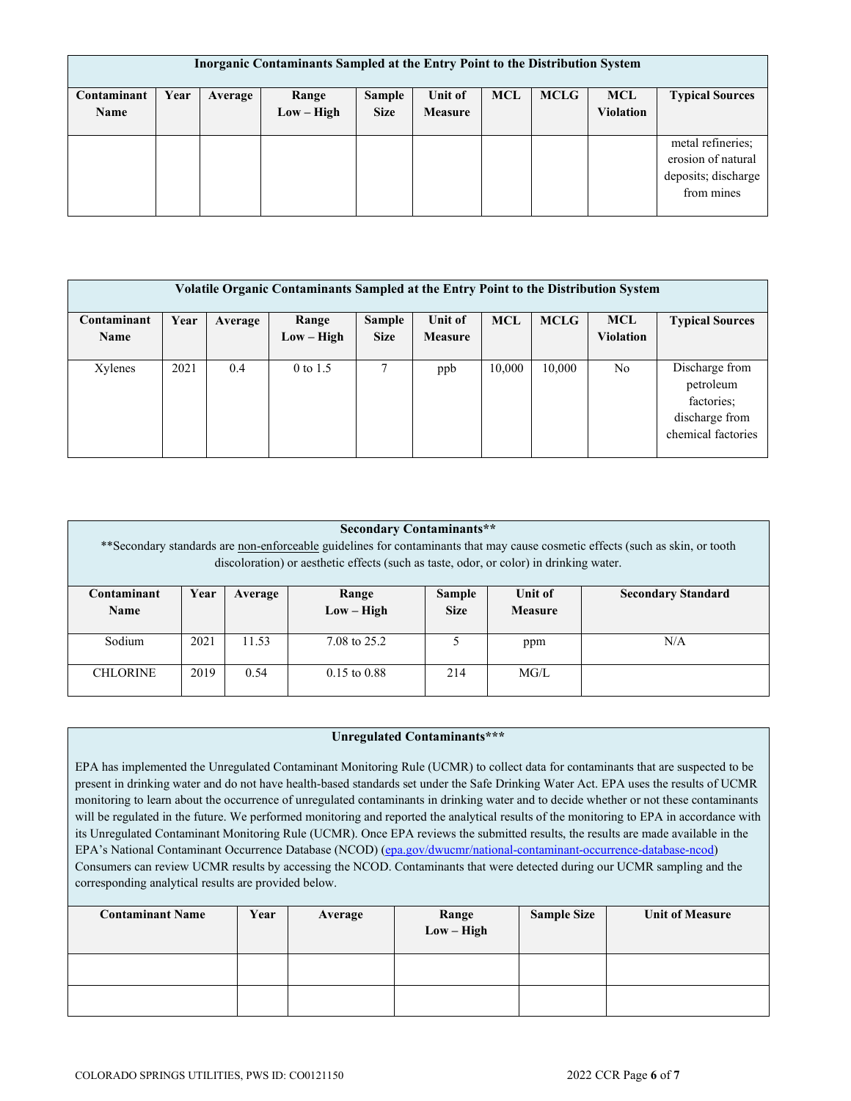| <b>Inorganic Contaminants Sampled at the Entry Point to the Distribution System</b> |      |         |              |               |                |            |             |                  |                        |  |  |  |
|-------------------------------------------------------------------------------------|------|---------|--------------|---------------|----------------|------------|-------------|------------------|------------------------|--|--|--|
| Contaminant                                                                         | Year | Average | Range        | <b>Sample</b> | Unit of        | <b>MCL</b> | <b>MCLG</b> | <b>MCL</b>       | <b>Typical Sources</b> |  |  |  |
| Name                                                                                |      |         | $Low - High$ | <b>Size</b>   | <b>Measure</b> |            |             | <b>Violation</b> |                        |  |  |  |
|                                                                                     |      |         |              |               |                |            |             |                  |                        |  |  |  |
|                                                                                     |      |         |              |               |                |            |             |                  | metal refineries;      |  |  |  |
|                                                                                     |      |         |              |               |                |            |             |                  | erosion of natural     |  |  |  |
|                                                                                     |      |         |              |               |                |            |             |                  | deposits; discharge    |  |  |  |
|                                                                                     |      |         |              |               |                |            |             |                  | from mines             |  |  |  |
|                                                                                     |      |         |              |               |                |            |             |                  |                        |  |  |  |

| <b>Volatile Organic Contaminants Sampled at the Entry Point to the Distribution System</b> |      |         |                       |                       |                           |            |             |                                |                                                                                   |  |  |
|--------------------------------------------------------------------------------------------|------|---------|-----------------------|-----------------------|---------------------------|------------|-------------|--------------------------------|-----------------------------------------------------------------------------------|--|--|
| Contaminant<br>Name                                                                        | Year | Average | Range<br>$Low - High$ | Sample<br><b>Size</b> | Unit of<br><b>Measure</b> | <b>MCL</b> | <b>MCLG</b> | <b>MCL</b><br><b>Violation</b> | <b>Typical Sources</b>                                                            |  |  |
| Xylenes                                                                                    | 2021 | 0.4     | $0$ to 1.5            | $\tau$                | ppb                       | 10,000     | 10,000      | No                             | Discharge from<br>petroleum<br>factories;<br>discharge from<br>chemical factories |  |  |

| <b>Secondary Contaminants**</b><br>** Secondary standards are non-enforceable guidelines for contaminants that may cause cosmetic effects (such as skin, or tooth<br>discoloration) or aesthetic effects (such as taste, odor, or color) in drinking water. |                                                                                   |      |                  |             |                |  |  |  |  |  |  |
|-------------------------------------------------------------------------------------------------------------------------------------------------------------------------------------------------------------------------------------------------------------|-----------------------------------------------------------------------------------|------|------------------|-------------|----------------|--|--|--|--|--|--|
| <b>Contaminant</b>                                                                                                                                                                                                                                          | Year<br>Unit of<br><b>Secondary Standard</b><br>Range<br><b>Sample</b><br>Average |      |                  |             |                |  |  |  |  |  |  |
| <b>Name</b>                                                                                                                                                                                                                                                 |                                                                                   |      | $Low - High$     | <b>Size</b> | <b>Measure</b> |  |  |  |  |  |  |
| Sodium                                                                                                                                                                                                                                                      | 2021<br>11.53<br>N/A<br>7.08 to 25.2<br>ppm                                       |      |                  |             |                |  |  |  |  |  |  |
| <b>CHLORINE</b>                                                                                                                                                                                                                                             | 2019                                                                              | 0.54 | $0.15$ to $0.88$ | 214         | MG/L           |  |  |  |  |  |  |

### **Unregulated Contaminants\*\*\***

EPA has implemented the Unregulated Contaminant Monitoring Rule (UCMR) to collect data for contaminants that are suspected to be present in drinking water and do not have health-based standards set under the Safe Drinking Water Act. EPA uses the results of UCMR monitoring to learn about the occurrence of unregulated contaminants in drinking water and to decide whether or not these contaminants will be regulated in the future. We performed monitoring and reported the analytical results of the monitoring to EPA in accordance with its Unregulated Contaminant Monitoring Rule (UCMR). Once EPA reviews the submitted results, the results are made available in the EPA's National Contaminant Occurrence Database (NCOD) [\(epa.gov/dwucmr/national-contaminant-occurrence-database-ncod\)](http://www.epa.gov/dwucmr/national-contaminant-occurrence-database-ncod) Consumers can review UCMR results by accessing the NCOD. Contaminants that were detected during our UCMR sampling and the corresponding analytical results are provided below.

| <b>Contaminant Name</b> | Year | Average | Range<br>$Low - High$ | <b>Sample Size</b> | <b>Unit of Measure</b> |
|-------------------------|------|---------|-----------------------|--------------------|------------------------|
|                         |      |         |                       |                    |                        |
|                         |      |         |                       |                    |                        |